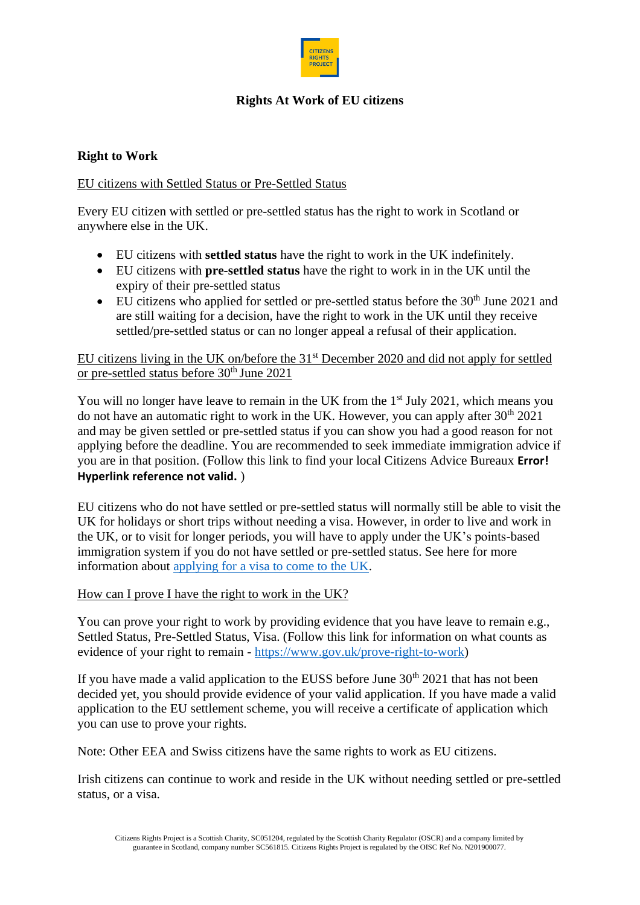

# **Rights At Work of EU citizens**

# **Right to Work**

## EU citizens with Settled Status or Pre-Settled Status

Every EU citizen with settled or pre-settled status has the right to work in Scotland or anywhere else in the UK.

- EU citizens with **settled status** have the right to work in the UK indefinitely.
- EU citizens with **pre-settled status** have the right to work in in the UK until the expiry of their pre-settled status
- EU citizens who applied for settled or pre-settled status before the  $30<sup>th</sup>$  June 2021 and are still waiting for a decision, have the right to work in the UK until they receive settled/pre-settled status or can no longer appeal a refusal of their application.

## EU citizens living in the UK on/before the 31<sup>st</sup> December 2020 and did not apply for settled or pre-settled status before 30<sup>th</sup> June 2021

You will no longer have leave to remain in the UK from the 1<sup>st</sup> July 2021, which means you do not have an automatic right to work in the UK. However, you can apply after  $30<sup>th</sup> 2021$ and may be given settled or pre-settled status if you can show you had a good reason for not applying before the deadline. You are recommended to seek immediate immigration advice if you are in that position. (Follow this link to find your local Citizens Advice Bureaux **Error! Hyperlink reference not valid.** )

EU citizens who do not have settled or pre-settled status will normally still be able to visit the UK for holidays or short trips without needing a visa. However, in order to live and work in the UK, or to visit for longer periods, you will have to apply under the UK's points-based immigration system if you do not have settled or pre-settled status. See here for more information about [applying for a visa to come to the UK.](https://www.gov.uk/apply-to-come-to-the-uk)

## How can I prove I have the right to work in the UK?

You can prove your right to work by providing evidence that you have leave to remain e.g., Settled Status, Pre-Settled Status, Visa. (Follow this link for information on what counts as evidence of your right to remain - https://www.gov.uk/prove-right-to-work)

If you have made a valid application to the EUSS before June  $30<sup>th</sup> 2021$  that has not been decided yet, you should provide evidence of your valid application. If you have made a valid application to the EU settlement scheme, you will receive a certificate of application which you can use to prove your rights.

Note: Other EEA and Swiss citizens have the same rights to work as EU citizens.

Irish citizens can continue to work and reside in the UK without needing settled or pre-settled status, or a visa.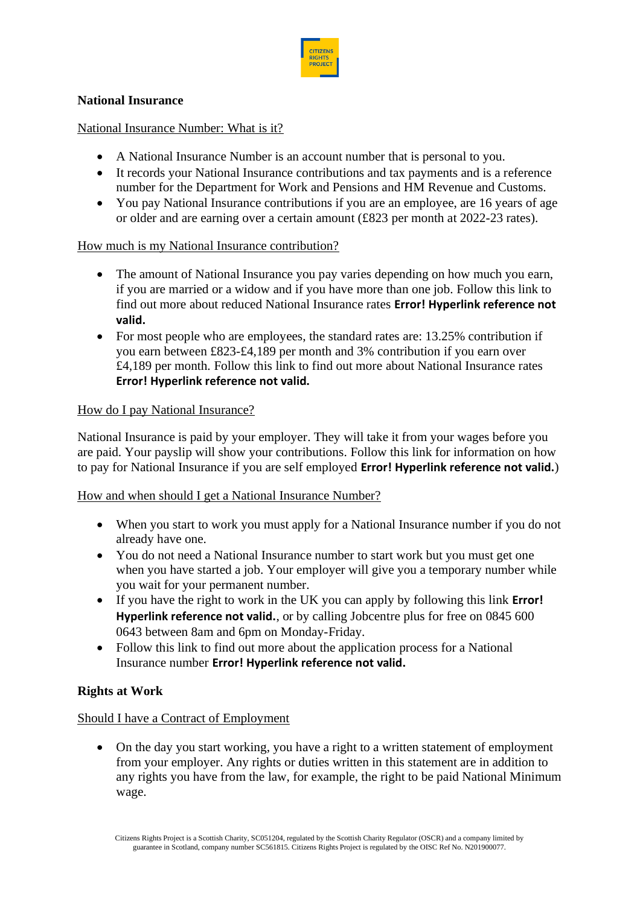

## **National Insurance**

### National Insurance Number: What is it?

- A National Insurance Number is an account number that is personal to you.
- It records your National Insurance contributions and tax payments and is a reference number for the Department for Work and Pensions and HM Revenue and Customs.
- You pay National Insurance contributions if you are an employee, are 16 years of age or older and are earning over a certain amount (£823 per month at 2022-23 rates).

### How much is my National Insurance contribution?

- The amount of National Insurance you pay varies depending on how much you earn, if you are married or a widow and if you have more than one job. Follow this link to find out more about reduced National Insurance rates **Error! Hyperlink reference not valid.**
- For most people who are employees, the standard rates are: 13.25% contribution if you earn between £823-£4,189 per month and 3% contribution if you earn over £4,189 per month. Follow this link to find out more about National Insurance rates **Error! Hyperlink reference not valid.**

### How do I pay National Insurance?

National Insurance is paid by your employer. They will take it from your wages before you are paid. Your payslip will show your contributions. Follow this link for information on how to pay for National Insurance if you are self employed **Error! Hyperlink reference not valid.**)

#### How and when should I get a National Insurance Number?

- When you start to work you must apply for a National Insurance number if you do not already have one.
- You do not need a National Insurance number to start work but you must get one when you have started a job. Your employer will give you a temporary number while you wait for your permanent number.
- If you have the right to work in the UK you can apply by following this link **Error! Hyperlink reference not valid.**, or by calling Jobcentre plus for free on 0845 600 0643 between 8am and 6pm on Monday-Friday.
- Follow this link to find out more about the application process for a National Insurance number **Error! Hyperlink reference not valid.**

### **Rights at Work**

#### Should I have a Contract of Employment

• On the day you start working, you have a right to a written statement of employment from your employer. Any rights or duties written in this statement are in addition to any rights you have from the law, for example, the right to be paid National Minimum wage.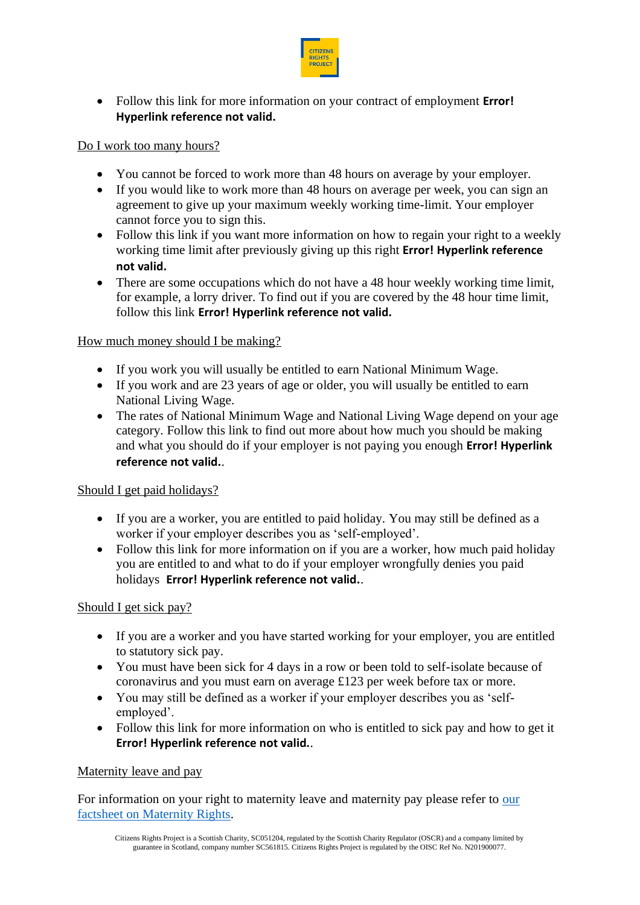

• Follow this link for more information on your contract of employment **Error! Hyperlink reference not valid.**

## Do I work too many hours?

- You cannot be forced to work more than 48 hours on average by your employer.
- If you would like to work more than 48 hours on average per week, you can sign an agreement to give up your maximum weekly working time-limit. Your employer cannot force you to sign this.
- Follow this link if you want more information on how to regain your right to a weekly working time limit after previously giving up this right **Error! Hyperlink reference not valid.**
- There are some occupations which do not have a 48 hour weekly working time limit, for example, a lorry driver. To find out if you are covered by the 48 hour time limit, follow this link **Error! Hyperlink reference not valid.**

### How much money should I be making?

- If you work you will usually be entitled to earn National Minimum Wage.
- If you work and are 23 years of age or older, you will usually be entitled to earn National Living Wage.
- The rates of National Minimum Wage and National Living Wage depend on your age category. Follow this link to find out more about how much you should be making and what you should do if your employer is not paying you enough **Error! Hyperlink reference not valid.**.

### Should I get paid holidays?

- If you are a worker, you are entitled to paid holiday. You may still be defined as a worker if your employer describes you as 'self-employed'.
- Follow this link for more information on if you are a worker, how much paid holiday you are entitled to and what to do if your employer wrongfully denies you paid holidays **Error! Hyperlink reference not valid.**.

## Should I get sick pay?

- If you are a worker and you have started working for your employer, you are entitled to statutory sick pay.
- You must have been sick for 4 days in a row or been told to self-isolate because of coronavirus and you must earn on average £123 per week before tax or more.
- You may still be defined as a worker if your employer describes you as 'selfemployed'.
- Follow this link for more information on who is entitled to sick pay and how to get it **Error! Hyperlink reference not valid.**.

### Maternity leave and pay

For information on your right to maternity leave and maternity pay please refer to [our](https://citizensrightsproject.org/wp-content/uploads/2022/05/Maternity-Rights-Factsheet.docx-with-amendments.docx-v3.docx-final-1.pdf)  [factsheet on Maternity Rights.](https://citizensrightsproject.org/wp-content/uploads/2022/05/Maternity-Rights-Factsheet.docx-with-amendments.docx-v3.docx-final-1.pdf)